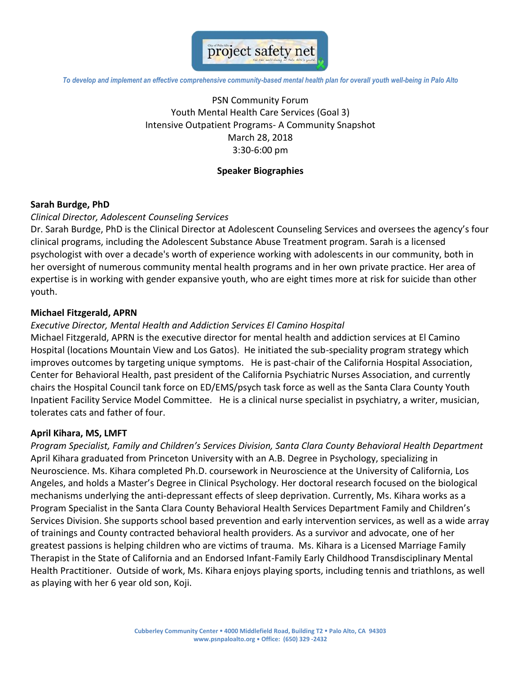

*To develop and implement an effective comprehensive community-based mental health plan for overall youth well-being in Palo Alto*

PSN Community Forum Youth Mental Health Care Services (Goal 3) Intensive Outpatient Programs- A Community Snapshot March 28, 2018 3:30-6:00 pm

## **Speaker Biographies**

## **Sarah Burdge, PhD**

### *Clinical Director, Adolescent Counseling Services*

Dr. Sarah Burdge, PhD is the Clinical Director at Adolescent Counseling Services and oversees the agency's four clinical programs, including the Adolescent Substance Abuse Treatment program. Sarah is a licensed psychologist with over a decade's worth of experience working with adolescents in our community, both in her oversight of numerous community mental health programs and in her own private practice. Her area of expertise is in working with gender expansive youth, who are eight times more at risk for suicide than other youth.

## **Michael Fitzgerald, APRN**

### *Executive Director, Mental Health and Addiction Services El Camino Hospital*

Michael Fitzgerald, APRN is the executive director for mental health and addiction services at El Camino Hospital (locations Mountain View and Los Gatos). He initiated the sub-speciality program strategy which improves outcomes by targeting unique symptoms. He is past-chair of the California Hospital Association, Center for Behavioral Health, past president of the California Psychiatric Nurses Association, and currently chairs the Hospital Council tank force on ED/EMS/psych task force as well as the Santa Clara County Youth Inpatient Facility Service Model Committee. He is a clinical nurse specialist in psychiatry, a writer, musician, tolerates cats and father of four.

### **April Kihara, MS, LMFT**

*Program Specialist, Family and Children's Services Division, Santa Clara County Behavioral Health Department* April Kihara graduated from Princeton University with an A.B. Degree in Psychology, specializing in Neuroscience. Ms. Kihara completed Ph.D. coursework in Neuroscience at the University of California, Los Angeles, and holds a Master's Degree in Clinical Psychology. Her doctoral research focused on the biological mechanisms underlying the anti-depressant effects of sleep deprivation. Currently, Ms. Kihara works as a Program Specialist in the Santa Clara County Behavioral Health Services Department Family and Children's Services Division. She supports school based prevention and early intervention services, as well as a wide array of trainings and County contracted behavioral health providers. As a survivor and advocate, one of her greatest passions is helping children who are victims of trauma. Ms. Kihara is a Licensed Marriage Family Therapist in the State of California and an Endorsed Infant-Family Early Childhood Transdisciplinary Mental Health Practitioner. Outside of work, Ms. Kihara enjoys playing sports, including tennis and triathlons, as well as playing with her 6 year old son, Koji.